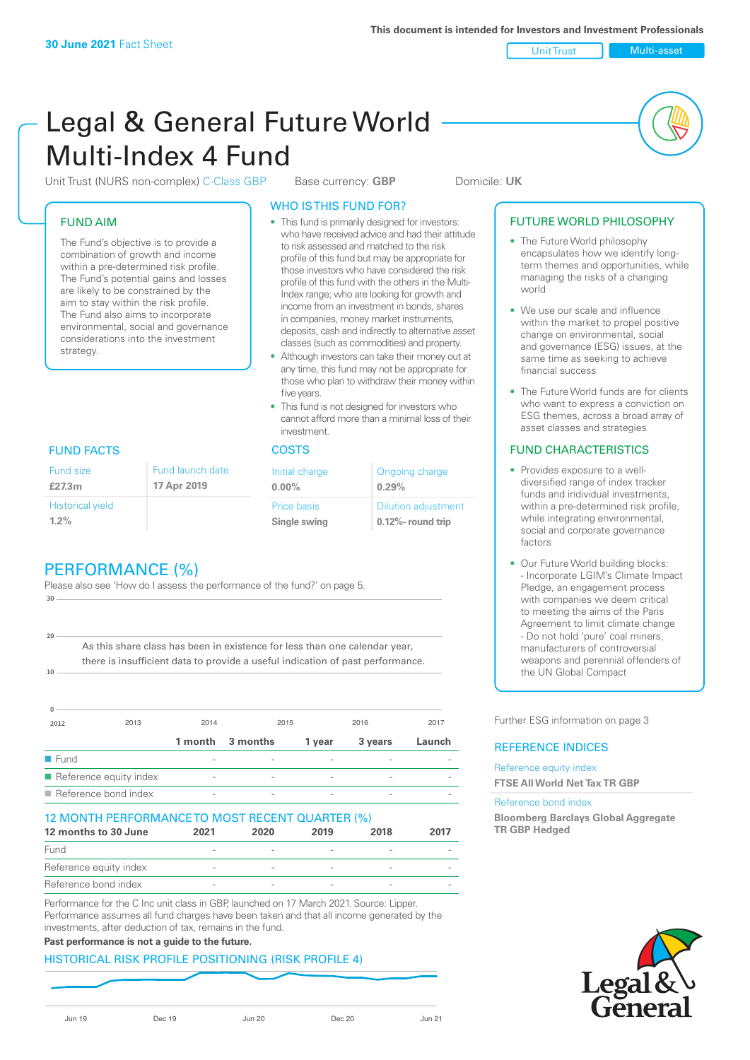Unit Trust Multi-asset

# Legal & General Future World Multi-Index 4 Fund

Unit Trust (NURS non-complex) C-Class GBP Base currency: **GBP** Domicile: UK

# FUND AIM

The Fund's objective is to provide a combination of growth and income within a pre-determined risk profile. The Fund's potential gains and losses are likely to be constrained by the aim to stay within the risk profile. The Fund also aims to incorporate environmental, social and governance considerations into the investment strategy.

#### WHO IS THIS FUND FOR?

- This fund is primarily designed for investors: who have received advice and had their attitude to risk assessed and matched to the risk profile of this fund but may be appropriate for those investors who have considered the risk profile of this fund with the others in the Multi-Index range; who are looking for growth and income from an investment in bonds, shares in companies, money market instruments, deposits, cash and indirectly to alternative asset classes (such as commodities) and property.
- Although investors can take their money out at any time, this fund may not be appropriate for those who plan to withdraw their money within five years.
- This fund is not designed for investors who cannot afford more than a minimal loss of their investment.

| Fund launch date | Initial charge              | Ongoing charge                                      |  |
|------------------|-----------------------------|-----------------------------------------------------|--|
| 17 Apr 2019      | $0.00\%$                    | 0.29%                                               |  |
|                  | Price basis<br>Single swing | <b>Dilution adjustment</b><br>$0.12\%$ - round trip |  |

### FUND FACTS COSTS

Historical yield **1.2%**

Fund size **£27.3m**

**10**

**20**

# PERFORMANCE (%)

Please also see 'How do I assess the performance of the fund?' on page 5. **30**

As this share class has been in existence for less than one calendar year, there is insufficient data to provide a useful indication of past performance.

| <sup>0</sup>        |                                     |                          |          |                          |         |        |
|---------------------|-------------------------------------|--------------------------|----------|--------------------------|---------|--------|
| 2012                | 2013                                | 2014                     |          | 2015                     | 2016    | 2017   |
|                     |                                     | 1 month                  | 3 months | 1 year                   | 3 years | Launch |
| $\blacksquare$ Fund |                                     |                          |          | $\overline{\phantom{a}}$ |         |        |
|                     | Reference equity index              | $\overline{\phantom{a}}$ |          |                          |         |        |
|                     | $\blacksquare$ Reference bond index | $\overline{\phantom{a}}$ |          | $\overline{\phantom{a}}$ |         |        |

#### 12 MONTH PERFORMANCE TO MOST RECENT QUARTER (%)

| 12 months to 30 June   | 2021   | 2020                     | 2019 | 2018   | 2017 |
|------------------------|--------|--------------------------|------|--------|------|
| Fund                   |        |                          |      |        |      |
| Reference equity index |        |                          |      |        |      |
| Reference bond index   | $\sim$ | $\overline{\phantom{a}}$ |      | $\sim$ |      |

Performance for the C Inc unit class in GBP, launched on 17 March 2021. Source: Lipper. Performance assumes all fund charges have been taken and that all income generated by the investments, after deduction of tax, remains in the fund.

#### **Past performance is not a guide to the future.**

#### HISTORICAL RISK PROFILE POSITIONING (RISK PROFILE 4)

| . li in |  |
|---------|--|
|         |  |

#### FUTURE WORLD PHILOSOPHY

- The Future World philosophy encapsulates how we identify longterm themes and opportunities, while managing the risks of a changing world
- We use our scale and influence within the market to propel positive change on environmental, social and governance (ESG) issues, at the same time as seeking to achieve financial success
- The Future World funds are for clients who want to express a conviction on ESG themes, across a broad array of asset classes and strategies

#### FUND CHARACTERISTICS

- Provides exposure to a welldiversified range of index tracker funds and individual investments, within a pre-determined risk profile. while integrating environmental, social and corporate governance factors
- Our Future World building blocks: - Incorporate LGIM's Climate Impact Pledge, an engagement process with companies we deem critical to meeting the aims of the Paris Agreement to limit climate change - Do not hold 'pure' coal miners, manufacturers of controversial weapons and perennial offenders of the UN Global Compact

Further ESG information on page 3

#### REFERENCE INDICES

#### Reference equity index **FTSE All World Net Tax TR GBP**

#### Reference bond index

**Bloomberg Barclays Global Aggregate TR GBP Hedged**

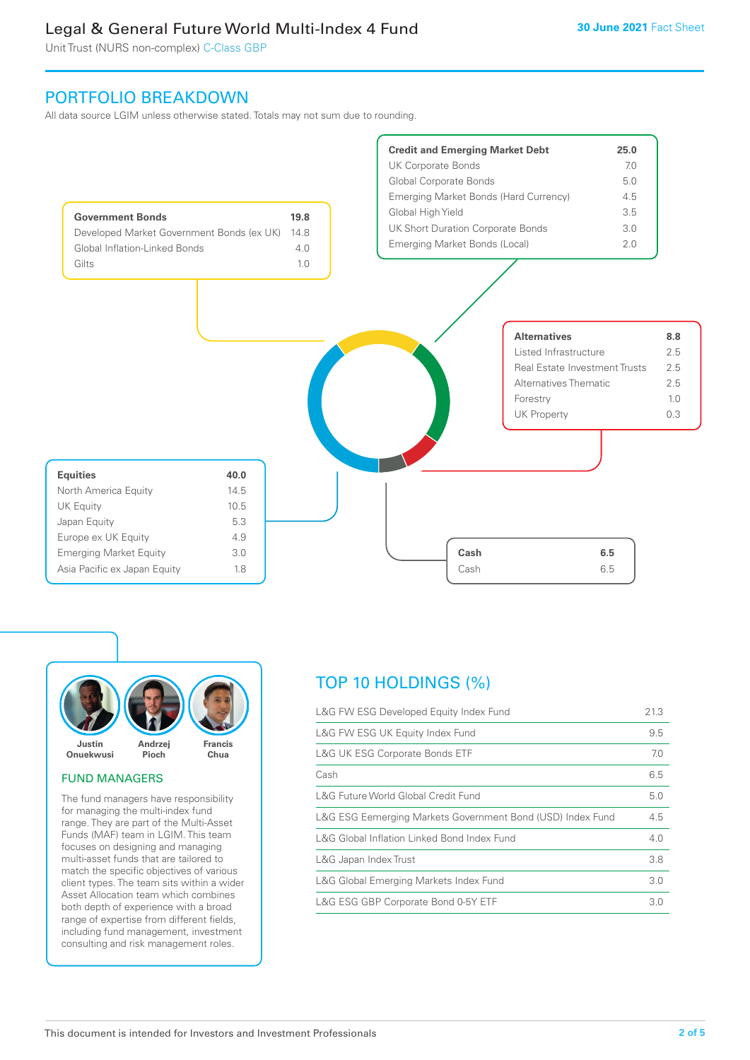Unit Trust (NURS non-complex) C-Class GBP

## PORTFOLIO BREAKDOWN

All data source LGIM unless otherwise stated. Totals may not sum due to rounding.



![](_page_1_Picture_6.jpeg)

#### FUND MANAGERS

The fund managers have responsibility for managing the multi-index fund range. They are part of the Multi-Asset Funds (MAF) team in LGIM. This team focuses on designing and managing multi-asset funds that are tailored to match the specific objectives of various client types. The team sits within a wider Asset Allocation team which combines both depth of experience with a broad range of expertise from different fields, including fund management, investment consulting and risk management roles.

# TOP 10 HOLDINGS (%)

| L&G FW ESG Developed Equity Index Fund                     | 21.3 |
|------------------------------------------------------------|------|
| L&G FW ESG UK Equity Index Fund                            | 9.5  |
| <b>L&amp;G UK ESG Corporate Bonds ETF</b>                  | 7.0  |
| Cash                                                       | 6.5  |
| L&G Future World Global Credit Fund                        | 5.0  |
| L&G ESG Eemerging Markets Government Bond (USD) Index Fund | 4.5  |
| L&G Global Inflation Linked Bond Index Fund                | 4.0  |
| L&G Japan Index Trust                                      | 3.8  |
| L&G Global Emerging Markets Index Fund                     | 3.0  |
| L&G ESG GBP Corporate Bond 0-5Y ETF                        | 3.0  |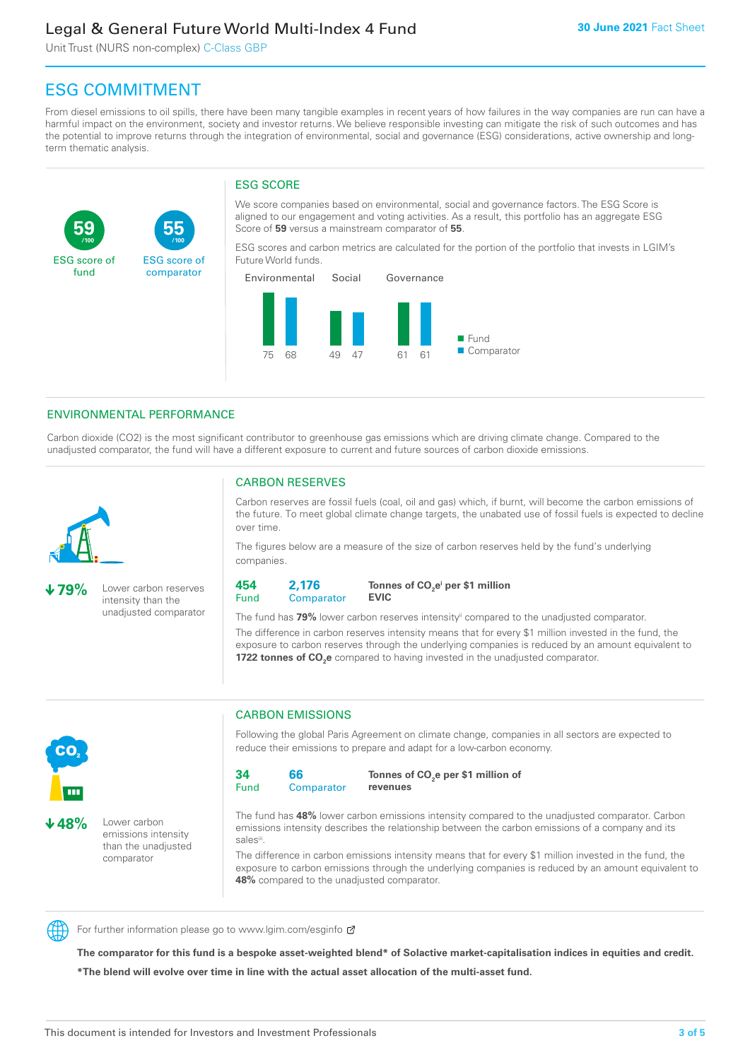Unit Trust (NURS non-complex) C-Class GBP

**55**

ESG score of comparator

# ESG COMMITMENT

**/100 /100**

From diesel emissions to oil spills, there have been many tangible examples in recent years of how failures in the way companies are run can have a harmful impact on the environment, society and investor returns. We believe responsible investing can mitigate the risk of such outcomes and has the potential to improve returns through the integration of environmental, social and governance (ESG) considerations, active ownership and longterm thematic analysis.

#### ESG SCORE

We score companies based on environmental, social and governance factors. The ESG Score is aligned to our engagement and voting activities. As a result, this portfolio has an aggregate ESG Score of **59** versus a mainstream comparator of **55**.

ESG scores and carbon metrics are calculated for the portion of the portfolio that invests in LGIM's Future World funds.

![](_page_2_Figure_8.jpeg)

#### ENVIRONMENTAL PERFORMANCE

Carbon dioxide (CO2) is the most significant contributor to greenhouse gas emissions which are driving climate change. Compared to the unadjusted comparator, the fund will have a different exposure to current and future sources of carbon dioxide emissions.

![](_page_2_Picture_11.jpeg)

**59**

ESG score of fund

**79%** Lower carbon reserves intensity than the unadjusted comparator

#### CARBON RESERVES

Carbon reserves are fossil fuels (coal, oil and gas) which, if burnt, will become the carbon emissions of the future. To meet global climate change targets, the unabated use of fossil fuels is expected to decline over time.

The figures below are a measure of the size of carbon reserves held by the fund's underlying companies.

**454** Fund **2,176 Comparator** 

**Tonnes of CO2 ei per \$1 million EVIC**

The fund has **79%** lower carbon reserves intensityii compared to the unadjusted comparator. The difference in carbon reserves intensity means that for every \$1 million invested in the fund, the exposure to carbon reserves through the underlying companies is reduced by an amount equivalent to **1722 tonnes of CO<sub>2</sub>e** compared to having invested in the unadjusted comparator.

![](_page_2_Picture_19.jpeg)

**48%** Lower carbon emissions intensity than the unadjusted comparator

#### CARBON EMISSIONS

Following the global Paris Agreement on climate change, companies in all sectors are expected to reduce their emissions to prepare and adapt for a low-carbon economy.

**34** Fund **66 Comparator** 

**Tonnes of CO2 e per \$1 million of revenues**

The fund has **48%** lower carbon emissions intensity compared to the unadjusted comparator. Carbon emissions intensity describes the relationship between the carbon emissions of a company and its salesii

The difference in carbon emissions intensity means that for every \$1 million invested in the fund, the exposure to carbon emissions through the underlying companies is reduced by an amount equivalent to **48%** compared to the unadjusted comparator.

![](_page_2_Picture_27.jpeg)

For further information please go to www.lgim.com/esginfo Ø

**The comparator for this fund is a bespoke asset-weighted blend\* of Solactive market-capitalisation indices in equities and credit. \*The blend will evolve over time in line with the actual asset allocation of the multi-asset fund.**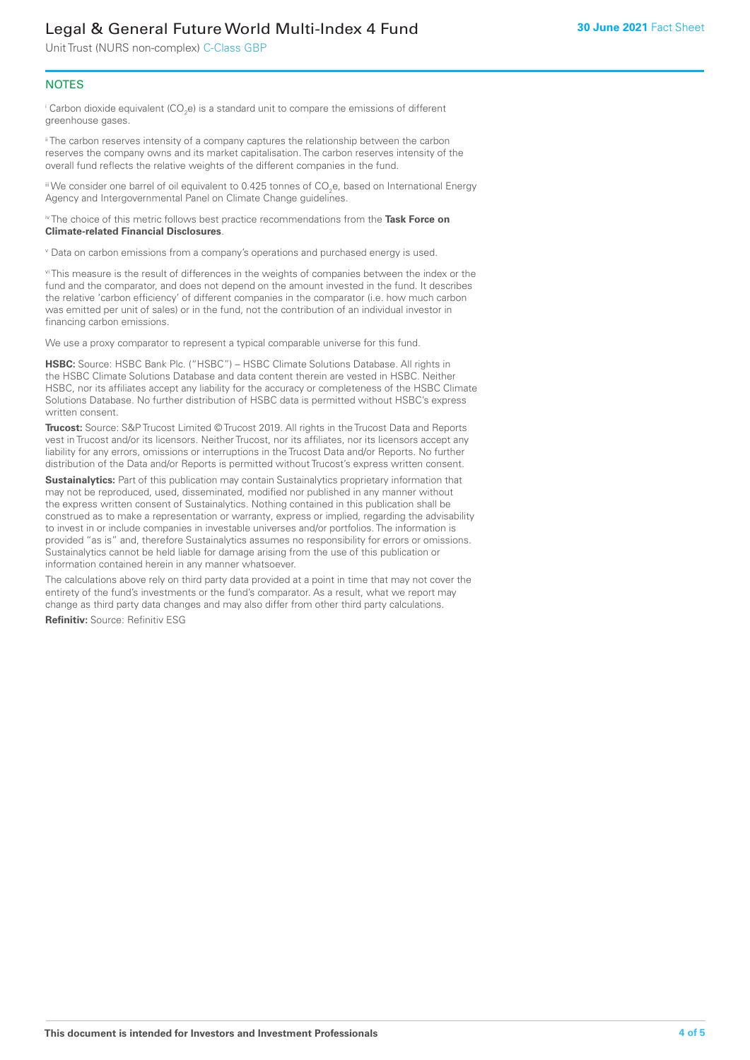Unit Trust (NURS non-complex) C-Class GBP

#### **NOTES**

 $^\mathrm{i}$  Carbon dioxide equivalent (CO<sub>2</sub>e) is a standard unit to compare the emissions of different greenhouse gases.

<sup>ii</sup> The carbon reserves intensity of a company captures the relationship between the carbon reserves the company owns and its market capitalisation. The carbon reserves intensity of the overall fund reflects the relative weights of the different companies in the fund.

iii We consider one barrel of oil equivalent to 0.425 tonnes of CO<sub>2</sub>e, based on International Energy Agency and Intergovernmental Panel on Climate Change guidelines.

#### iv The choice of this metric follows best practice recommendations from the **Task Force on Climate-related Financial Disclosures**.

v Data on carbon emissions from a company's operations and purchased energy is used.

vi This measure is the result of differences in the weights of companies between the index or the fund and the comparator, and does not depend on the amount invested in the fund. It describes the relative 'carbon efficiency' of different companies in the comparator (i.e. how much carbon was emitted per unit of sales) or in the fund, not the contribution of an individual investor in financing carbon emissions.

We use a proxy comparator to represent a typical comparable universe for this fund.

**HSBC:** Source: HSBC Bank Plc. ("HSBC") – HSBC Climate Solutions Database. All rights in the HSBC Climate Solutions Database and data content therein are vested in HSBC. Neither HSBC, nor its affiliates accept any liability for the accuracy or completeness of the HSBC Climate Solutions Database. No further distribution of HSBC data is permitted without HSBC's express written consent.

**Trucost:** Source: S&P Trucost Limited © Trucost 2019. All rights in the Trucost Data and Reports vest in Trucost and/or its licensors. Neither Trucost, nor its affiliates, nor its licensors accept any liability for any errors, omissions or interruptions in the Trucost Data and/or Reports. No further distribution of the Data and/or Reports is permitted without Trucost's express written consent.

**Sustainalytics:** Part of this publication may contain Sustainalytics proprietary information that may not be reproduced, used, disseminated, modified nor published in any manner without the express written consent of Sustainalytics. Nothing contained in this publication shall be construed as to make a representation or warranty, express or implied, regarding the advisability to invest in or include companies in investable universes and/or portfolios. The information is provided "as is" and, therefore Sustainalytics assumes no responsibility for errors or omissions. Sustainalytics cannot be held liable for damage arising from the use of this publication or information contained herein in any manner whatsoever.

The calculations above rely on third party data provided at a point in time that may not cover the entirety of the fund's investments or the fund's comparator. As a result, what we report may change as third party data changes and may also differ from other third party calculations.

**Refinitiv:** Source: Refinitiv ESG